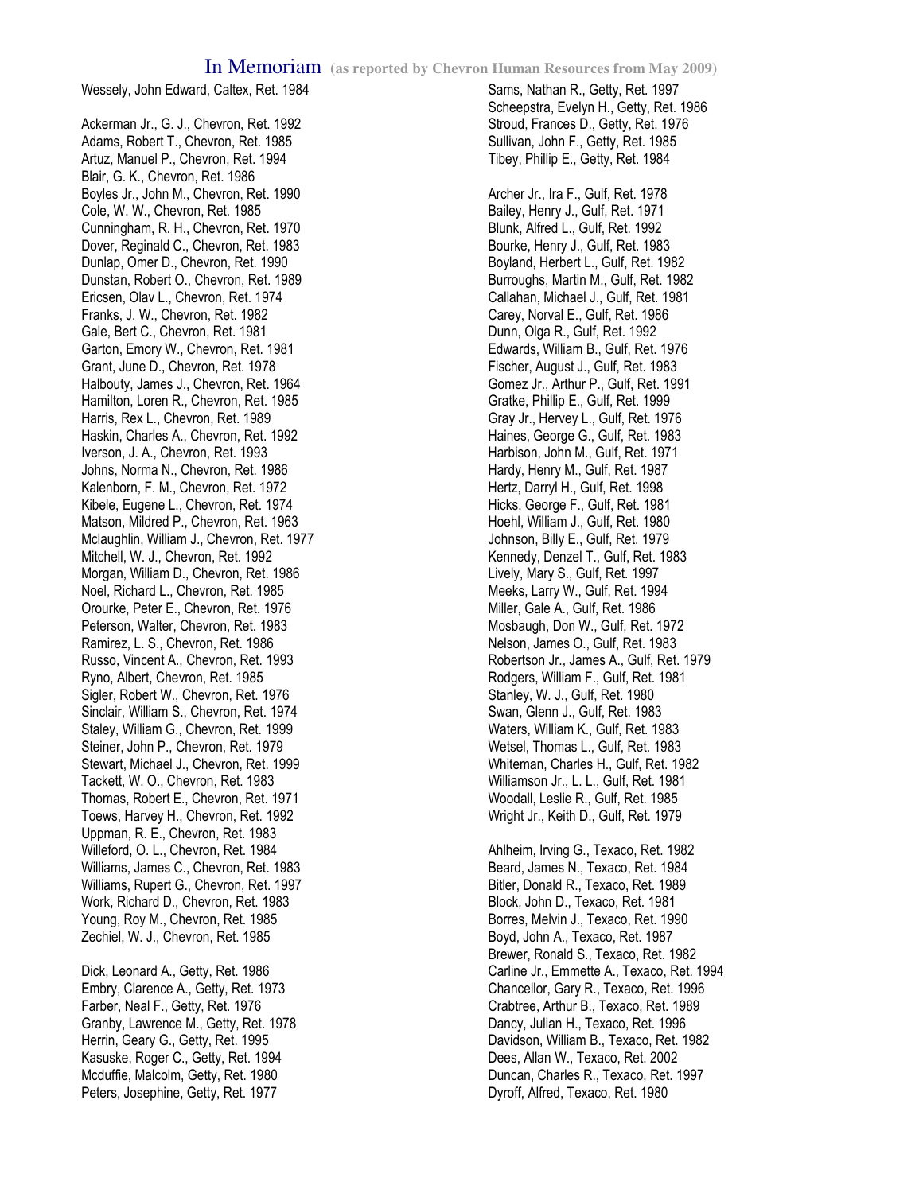Wessely, John Edward, Caltex, Ret. 1984

Ackerman Jr., G. J., Chevron, Ret. 1992 Adams, Robert T., Chevron, Ret. 1985 Artuz, Manuel P., Chevron, Ret. 1994 Blair, G. K., Chevron, Ret. 1986 Boyles Jr., John M., Chevron, Ret. 1990 Cole, W. W., Chevron, Ret. 1985 Cunningham, R. H., Chevron, Ret. 1970 Dover, Reginald C., Chevron, Ret. 1983 Dunlap, Omer D., Chevron, Ret. 1990 Dunstan, Robert O., Chevron, Ret. 1989 Ericsen, Olav L., Chevron, Ret. 1974 Franks, J. W., Chevron, Ret. 1982 Gale, Bert C., Chevron, Ret. 1981 Garton, Emory W., Chevron, Ret. 1981 Grant, June D., Chevron, Ret. 1978 Halbouty, James J., Chevron, Ret. 1964 Hamilton, Loren R., Chevron, Ret. 1985 Harris, Rex L., Chevron, Ret. 1989 Haskin, Charles A., Chevron, Ret. 1992 Iverson, J. A., Chevron, Ret. 1993 Johns, Norma N., Chevron, Ret. 1986 Kalenborn, F. M., Chevron, Ret. 1972 Kibele, Eugene L., Chevron, Ret. 1974 Matson, Mildred P., Chevron, Ret. 1963 Mclaughlin, William J., Chevron, Ret. 1977 Mitchell, W. J., Chevron, Ret. 1992 Morgan, William D., Chevron, Ret. 1986 Noel, Richard L., Chevron, Ret. 1985 Orourke, Peter E., Chevron, Ret. 1976 Peterson, Walter, Chevron, Ret. 1983 Ramirez, L. S., Chevron, Ret. 1986 Russo, Vincent A., Chevron, Ret. 1993 Ryno, Albert, Chevron, Ret. 1985 Sigler, Robert W., Chevron, Ret. 1976 Sinclair, William S., Chevron, Ret. 1974 Staley, William G., Chevron, Ret. 1999 Steiner, John P., Chevron, Ret. 1979 Stewart, Michael J., Chevron, Ret. 1999 Tackett, W. O., Chevron, Ret. 1983 Thomas, Robert E., Chevron, Ret. 1971 Toews, Harvey H., Chevron, Ret. 1992 Uppman, R. E., Chevron, Ret. 1983 Willeford, O. L., Chevron, Ret. 1984 Williams, James C., Chevron, Ret. 1983 Williams, Rupert G., Chevron, Ret. 1997 Work, Richard D., Chevron, Ret. 1983 Young, Roy M., Chevron, Ret. 1985 Zechiel, W. J., Chevron, Ret. 1985

Dick, Leonard A., Getty, Ret. 1986 Embry, Clarence A., Getty, Ret. 1973 Farber, Neal F., Getty, Ret. 1976 Granby, Lawrence M., Getty, Ret. 1978 Herrin, Geary G., Getty, Ret. 1995 Kasuske, Roger C., Getty, Ret. 1994 Mcduffie, Malcolm, Getty, Ret. 1980 Peters, Josephine, Getty, Ret. 1977

## Sams, Nathan R., Getty, Ret. 1997 Scheepstra, Evelyn H., Getty, Ret. 1986 Stroud, Frances D., Getty, Ret. 1976 Sullivan, John F., Getty, Ret. 1985 Tibey, Phillip E., Getty, Ret. 1984

Archer Jr., Ira F., Gulf, Ret. 1978 Bailey, Henry J., Gulf, Ret. 1971 Blunk, Alfred L., Gulf, Ret. 1992 Bourke, Henry J., Gulf, Ret. 1983 Boyland, Herbert L., Gulf, Ret. 1982 Burroughs, Martin M., Gulf, Ret. 1982 Callahan, Michael J., Gulf, Ret. 1981 Carey, Norval E., Gulf, Ret. 1986 Dunn, Olga R., Gulf, Ret. 1992 Edwards, William B., Gulf, Ret. 1976 Fischer, August J., Gulf, Ret. 1983 Gomez Jr., Arthur P., Gulf, Ret. 1991 Gratke, Phillip E., Gulf, Ret. 1999 Gray Jr., Hervey L., Gulf, Ret. 1976 Haines, George G., Gulf, Ret. 1983 Harbison, John M., Gulf, Ret. 1971 Hardy, Henry M., Gulf, Ret. 1987 Hertz, Darryl H., Gulf, Ret. 1998 Hicks, George F., Gulf, Ret. 1981 Hoehl, William J., Gulf, Ret. 1980 Johnson, Billy E., Gulf, Ret. 1979 Kennedy, Denzel T., Gulf, Ret. 1983 Lively, Mary S., Gulf, Ret. 1997 Meeks, Larry W., Gulf, Ret. 1994 Miller, Gale A., Gulf, Ret. 1986 Mosbaugh, Don W., Gulf, Ret. 1972 Nelson, James O., Gulf, Ret. 1983 Robertson Jr., James A., Gulf, Ret. 1979 Rodgers, William F., Gulf, Ret. 1981 Stanley, W. J., Gulf, Ret. 1980 Swan, Glenn J., Gulf, Ret. 1983 Waters, William K., Gulf, Ret. 1983 Wetsel, Thomas L., Gulf, Ret. 1983 Whiteman, Charles H., Gulf, Ret. 1982 Williamson Jr., L. L., Gulf, Ret. 1981 Woodall, Leslie R., Gulf, Ret. 1985 Wright Jr., Keith D., Gulf, Ret. 1979

Ahlheim, Irving G., Texaco, Ret. 1982 Beard, James N., Texaco, Ret. 1984 Bitler, Donald R., Texaco, Ret. 1989 Block, John D., Texaco, Ret. 1981 Borres, Melvin J., Texaco, Ret. 1990 Boyd, John A., Texaco, Ret. 1987 Brewer, Ronald S., Texaco, Ret. 1982 Carline Jr., Emmette A., Texaco, Ret. 1994 Chancellor, Gary R., Texaco, Ret. 1996 Crabtree, Arthur B., Texaco, Ret. 1989 Dancy, Julian H., Texaco, Ret. 1996 Davidson, William B., Texaco, Ret. 1982 Dees, Allan W., Texaco, Ret. 2002 Duncan, Charles R., Texaco, Ret. 1997 Dyroff, Alfred, Texaco, Ret. 1980